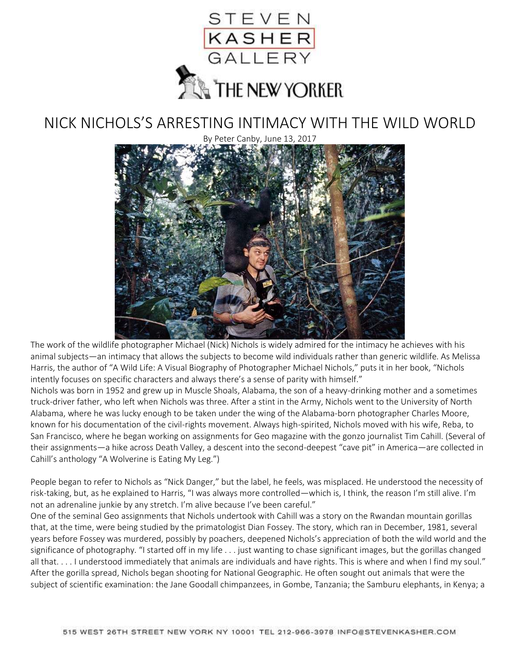

## NICK NICHOLS'S ARRESTING INTIMACY WITH THE WILD WORLD

By Peter Canby, June 13, 2017



The work of the wildlife photographer Michael (Nick) Nichols is widely admired for the intimacy he achieves with his animal subjects—an intimacy that allows the subjects to become wild individuals rather than generic wildlife. As Melissa Harris, the author of "A Wild Life: A Visual Biography of Photographer Michael Nichols," puts it in her book, "Nichols intently focuses on specific characters and always there's a sense of parity with himself."

Nichols was born in 1952 and grew up in Muscle Shoals, Alabama, the son of a heavy-drinking mother and a sometimes truck-driver father, who left when Nichols was three. After a stint in the Army, Nichols went to the University of North Alabama, where he was lucky enough to be taken under the wing of the Alabama-born photographer Charles Moore, known for his documentation of the civil-rights movement. Always high-spirited, Nichols moved with his wife, Reba, to San Francisco, where he began working on assignments for Geo magazine with the gonzo journalist Tim Cahill. (Several of their assignments—a hike across Death Valley, a descent into the second-deepest "cave pit" in America—are collected in Cahill's anthology "A Wolverine is Eating My Leg.")

People began to refer to Nichols as "Nick Danger," but the label, he feels, was misplaced. He understood the necessity of risk-taking, but, as he explained to Harris, "I was always more controlled—which is, I think, the reason I'm still alive. I'm not an adrenaline junkie by any stretch. I'm alive because I've been careful."

One of the seminal Geo assignments that Nichols undertook with Cahill was a story on the Rwandan mountain gorillas that, at the time, were being studied by the primatologist Dian Fossey. The story, which ran in December, 1981, several years before Fossey was murdered, possibly by poachers, deepened Nichols's appreciation of both the wild world and the significance of photography. "I started off in my life . . . just wanting to chase significant images, but the gorillas changed all that. . . . I understood immediately that animals are individuals and have rights. This is where and when I find my soul." After the gorilla spread, Nichols began shooting for National Geographic. He often sought out animals that were the subject of scientific examination: the Jane Goodall chimpanzees, in Gombe, Tanzania; the Samburu elephants, in Kenya; a